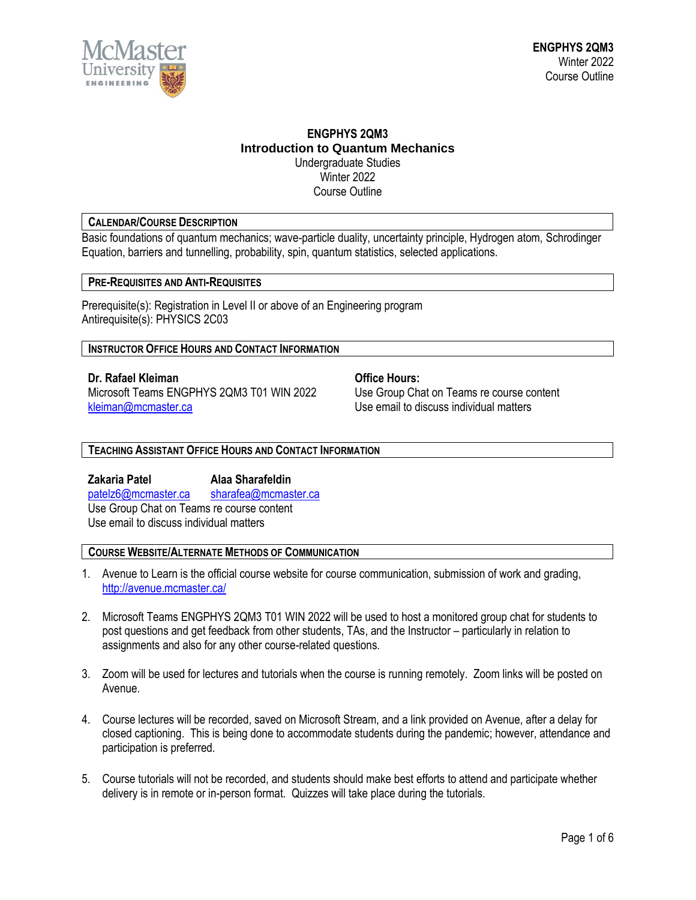

## **ENGPHYS 2QM3 Introduction to Quantum Mechanics** Undergraduate Studies Winter 2022

Course Outline

# **CALENDAR/COURSE DESCRIPTION**

Basic foundations of quantum mechanics; wave-particle duality, uncertainty principle, Hydrogen atom, Schrodinger Equation, barriers and tunnelling, probability, spin, quantum statistics, selected applications.

# **PRE-REQUISITES AND ANTI-REQUISITES**

Prerequisite(s): Registration in Level II or above of an Engineering program Antirequisite(s): PHYSICS 2C03

### **INSTRUCTOR OFFICE HOURS AND CONTACT INFORMATION**

**Dr. Rafael Kleiman Community Office Hours:** Microsoft Teams ENGPHYS 2QM3 T01 WIN 2022 Use Group Chat on Teams re course content [kleiman@mcmaster.ca](mailto:kleiman@mcmaster.ca) entitled to the Use email to discuss individual matters

**TEACHING ASSISTANT OFFICE HOURS AND CONTACT INFORMATION**

**Zakaria Patel Alaa Sharafeldin**  [patelz6@mcmaster.ca](mailto:patelz6@mcmaster.ca) [sharafea@mcmaster.ca](mailto:sharafea@mcmaster.ca) Use Group Chat on Teams re course content Use email to discuss individual matters

# **COURSE WEBSITE/ALTERNATE METHODS OF COMMUNICATION**

- 1. Avenue to Learn is the official course website for course communication, submission of work and grading, <http://avenue.mcmaster.ca/>
- 2. Microsoft Teams ENGPHYS 2QM3 T01 WIN 2022 will be used to host a monitored group chat for students to post questions and get feedback from other students, TAs, and the Instructor – particularly in relation to assignments and also for any other course-related questions.
- 3. Zoom will be used for lectures and tutorials when the course is running remotely. Zoom links will be posted on Avenue.
- 4. Course lectures will be recorded, saved on Microsoft Stream, and a link provided on Avenue, after a delay for closed captioning. This is being done to accommodate students during the pandemic; however, attendance and participation is preferred.
- 5. Course tutorials will not be recorded, and students should make best efforts to attend and participate whether delivery is in remote or in-person format. Quizzes will take place during the tutorials.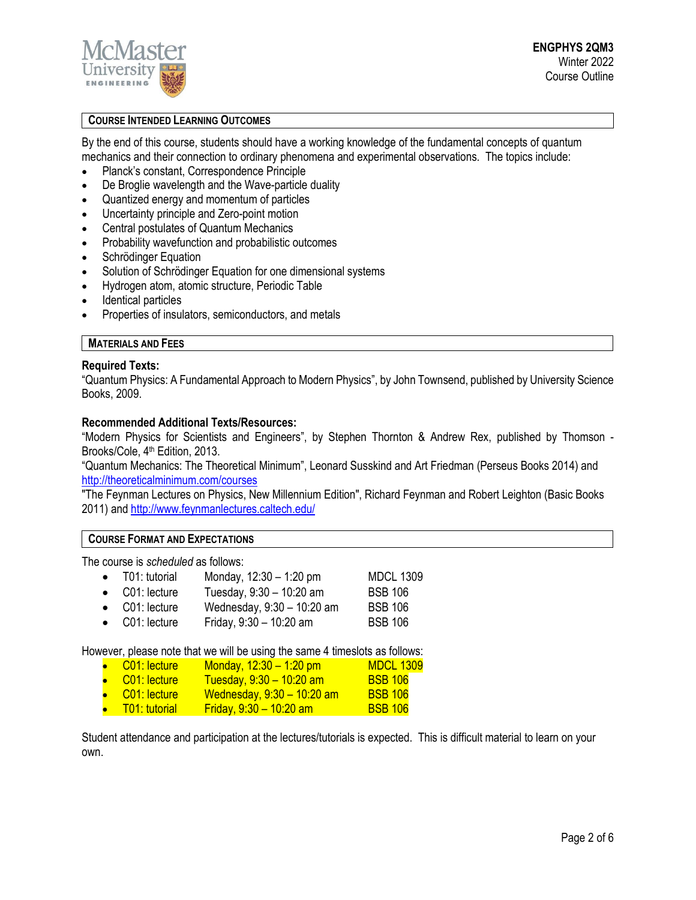

# **COURSE INTENDED LEARNING OUTCOMES**

By the end of this course, students should have a working knowledge of the fundamental concepts of quantum mechanics and their connection to ordinary phenomena and experimental observations. The topics include:

- Planck's constant, Correspondence Principle
- De Broglie wavelength and the Wave-particle duality
- Quantized energy and momentum of particles
- Uncertainty principle and Zero-point motion
- Central postulates of Quantum Mechanics
- Probability wavefunction and probabilistic outcomes
- Schrödinger Equation
- Solution of Schrödinger Equation for one dimensional systems
- Hydrogen atom, atomic structure, Periodic Table
- Identical particles
- Properties of insulators, semiconductors, and metals

# **MATERIALS AND FEES**

### **Required Texts:**

"Quantum Physics: A Fundamental Approach to Modern Physics", by John Townsend, published by University Science Books, 2009.

### **Recommended Additional Texts/Resources:**

"Modern Physics for Scientists and Engineers", by Stephen Thornton & Andrew Rex, published by Thomson - Brooks/Cole, 4<sup>th</sup> Edition, 2013.

"Quantum Mechanics: The Theoretical Minimum", Leonard Susskind and Art Friedman (Perseus Books 2014) and <http://theoreticalminimum.com/courses>

"The Feynman Lectures on Physics, New Millennium Edition", Richard Feynman and Robert Leighton (Basic Books 2011) and<http://www.feynmanlectures.caltech.edu/>

### **COURSE FORMAT AND EXPECTATIONS**

The course is *scheduled* as follows:

| $\bullet$ T01: tutorial | Monday, $12:30 - 1:20$ pm  | <b>MDCL 1309</b> |
|-------------------------|----------------------------|------------------|
| $\bullet$ C01: lecture  | Tuesday, $9:30 - 10:20$ am | <b>BSB 106</b>   |
| $\bullet$ C01: lecture  | Wednesday, 9:30 - 10:20 am | <b>BSB 106</b>   |
| .                       |                            | --- --           |

• C01: lecture Friday,  $9:30 - 10:20$  am BSB 106

However, please note that we will be using the same 4 timeslots as follows:

- C01: lecture Monday,  $12:30 1:20$  pm MDCL  $1309$  $\frac{1}{2}$  C01: lecture Tuesday, 9:30 – 10:20 am BSB 106  $\frac{1}{2}$  C01: lecture Wednesday, 9:30 – 10:20 am BSB 106
- $\overline{101}$ : tutorial Friday, 9:30 10:20 am BSB 106

Student attendance and participation at the lectures/tutorials is expected. This is difficult material to learn on your own.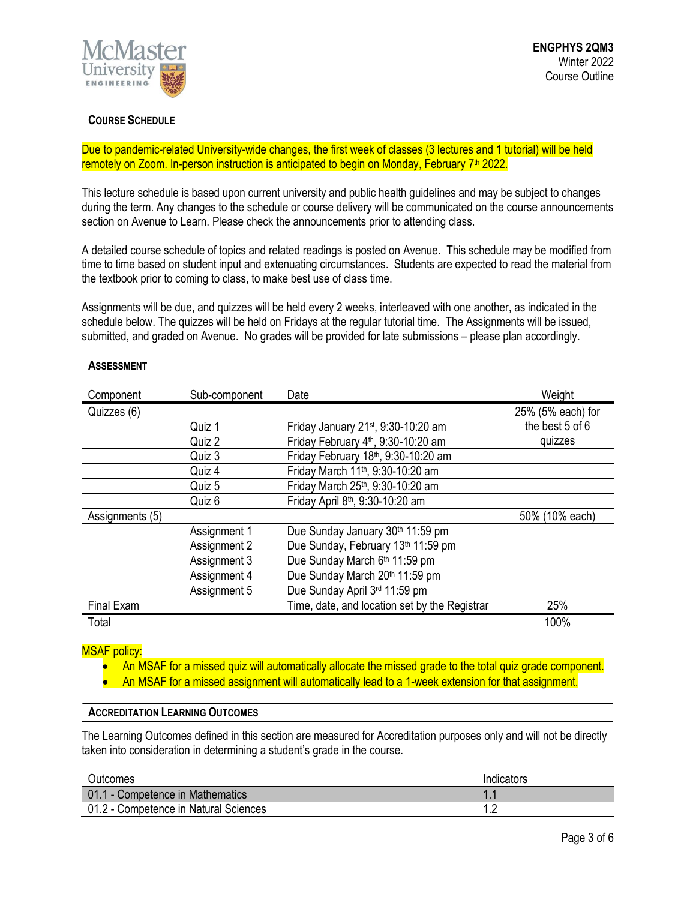

# **COURSE SCHEDULE**

Due to pandemic-related University-wide changes, the first week of classes (3 lectures and 1 tutorial) will be held remotely on Zoom. In-person instruction is anticipated to begin on Monday, February 7<sup>th</sup> 2022.

This lecture schedule is based upon current university and public health guidelines and may be subject to changes during the term. Any changes to the schedule or course delivery will be communicated on the course announcements section on Avenue to Learn. Please check the announcements prior to attending class.

A detailed course schedule of topics and related readings is posted on Avenue. This schedule may be modified from time to time based on student input and extenuating circumstances. Students are expected to read the material from the textbook prior to coming to class, to make best use of class time.

Assignments will be due, and quizzes will be held every 2 weeks, interleaved with one another, as indicated in the schedule below. The quizzes will be held on Fridays at the regular tutorial time. The Assignments will be issued, submitted, and graded on Avenue. No grades will be provided for late submissions – please plan accordingly.

| <b>ASSESSMENT</b> |
|-------------------|
|-------------------|

| Component       | Sub-component | Date                                            | Weight            |
|-----------------|---------------|-------------------------------------------------|-------------------|
| Quizzes (6)     |               |                                                 | 25% (5% each) for |
|                 | Quiz 1        | Friday January 21st, 9:30-10:20 am              | the best 5 of 6   |
|                 | Quiz 2        | Friday February 4 <sup>th</sup> , 9:30-10:20 am | quizzes           |
|                 | Quiz 3        | Friday February 18th, 9:30-10:20 am             |                   |
|                 | Quiz 4        | Friday March 11 <sup>th</sup> , 9:30-10:20 am   |                   |
|                 | Quiz 5        | Friday March 25th, 9:30-10:20 am                |                   |
|                 | Quiz 6        | Friday April 8 <sup>th</sup> , 9:30-10:20 am    |                   |
| Assignments (5) |               |                                                 | 50% (10% each)    |
|                 | Assignment 1  | Due Sunday January 30th 11:59 pm                |                   |
|                 | Assignment 2  | Due Sunday, February 13th 11:59 pm              |                   |
|                 | Assignment 3  | Due Sunday March 6th 11:59 pm                   |                   |
|                 | Assignment 4  | Due Sunday March 20th 11:59 pm                  |                   |
|                 | Assignment 5  | Due Sunday April 3rd 11:59 pm                   |                   |
| Final Exam      |               | Time, date, and location set by the Registrar   | 25%               |
| Total           |               |                                                 | 100%              |

MSAF policy:

- An MSAF for a missed quiz will automatically allocate the missed grade to the total quiz grade component.
- An MSAF for a missed assignment will automatically lead to a 1-week extension for that assignment.

# **ACCREDITATION LEARNING OUTCOMES**

The Learning Outcomes defined in this section are measured for Accreditation purposes only and will not be directly taken into consideration in determining a student's grade in the course.

| <b>Outcomes</b>                       | Indicators |
|---------------------------------------|------------|
| 01.1 - Competence in Mathematics      |            |
| 01.2 - Competence in Natural Sciences |            |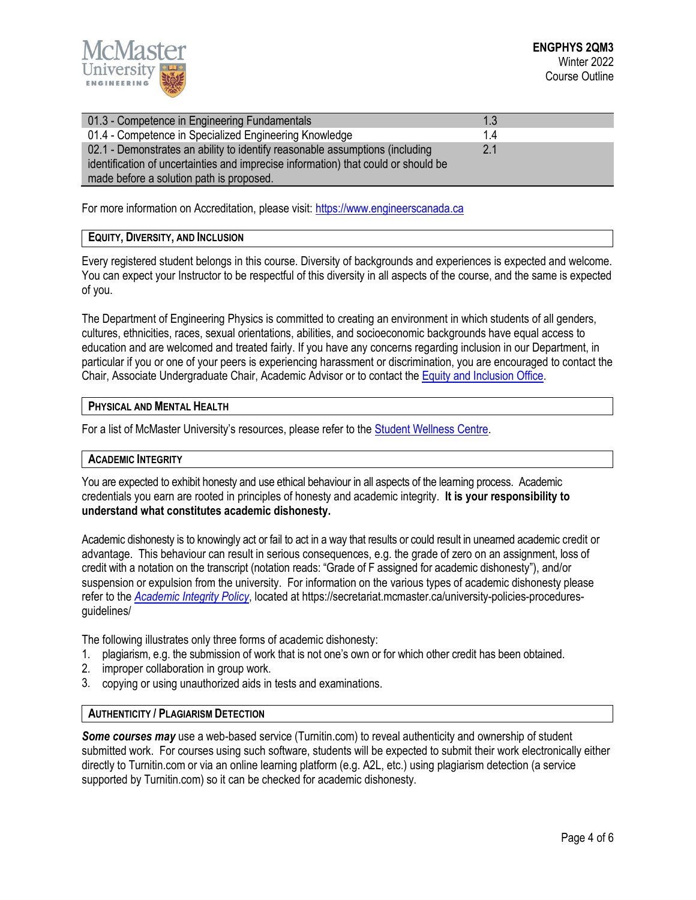

| 01.3 - Competence in Engineering Fundamentals                                      | 1.3 |  |  |  |
|------------------------------------------------------------------------------------|-----|--|--|--|
| 01.4 - Competence in Specialized Engineering Knowledge                             | 14  |  |  |  |
| 02.1 - Demonstrates an ability to identify reasonable assumptions (including       | 2.1 |  |  |  |
| identification of uncertainties and imprecise information) that could or should be |     |  |  |  |
| made before a solution path is proposed.                                           |     |  |  |  |

For more information on Accreditation, please visit[: https://www.engineerscanada.ca](https://www.engineerscanada.ca/)

# **EQUITY, DIVERSITY, AND INCLUSION**

Every registered student belongs in this course. Diversity of backgrounds and experiences is expected and welcome. You can expect your Instructor to be respectful of this diversity in all aspects of the course, and the same is expected of you.

The Department of Engineering Physics is committed to creating an environment in which students of all genders, cultures, ethnicities, races, sexual orientations, abilities, and socioeconomic backgrounds have equal access to education and are welcomed and treated fairly. If you have any concerns regarding inclusion in our Department, in particular if you or one of your peers is experiencing harassment or discrimination, you are encouraged to contact the Chair, Associate Undergraduate Chair, Academic Advisor or to contact the Equity and [Inclusion](https://equity.mcmaster.ca/) Office.

## **PHYSICAL AND MENTAL HEALTH**

For a list of McMaster University's resources, please refer to the **Student Wellness Centre**.

### **ACADEMIC INTEGRITY**

You are expected to exhibit honesty and use ethical behaviour in all aspects of the learning process. Academic credentials you earn are rooted in principles of honesty and academic integrity. **It is your responsibility to understand what constitutes academic dishonesty.**

Academic dishonesty is to knowingly act or fail to act in a way that results or could result in unearned academic credit or advantage. This behaviour can result in serious consequences, e.g. the grade of zero on an assignment, loss of credit with a notation on the transcript (notation reads: "Grade of F assigned for academic dishonesty"), and/or suspension or expulsion from the university. For information on the various types of academic dishonesty please refer to the *[Academic Integrity Policy](https://secretariat.mcmaster.ca/app/uploads/Academic-Integrity-Policy-1-1.pdf)*, located at https://secretariat.mcmaster.ca/university-policies-proceduresguidelines/

The following illustrates only three forms of academic dishonesty:

- 1. plagiarism, e.g. the submission of work that is not one's own or for which other credit has been obtained.
- 2. improper collaboration in group work.
- 3. copying or using unauthorized aids in tests and examinations.

# **AUTHENTICITY / PLAGIARISM DETECTION**

*Some courses may* use a web-based service (Turnitin.com) to reveal authenticity and ownership of student submitted work. For courses using such software, students will be expected to submit their work electronically either directly to Turnitin.com or via an online learning platform (e.g. A2L, etc.) using plagiarism detection (a service supported by Turnitin.com) so it can be checked for academic dishonesty.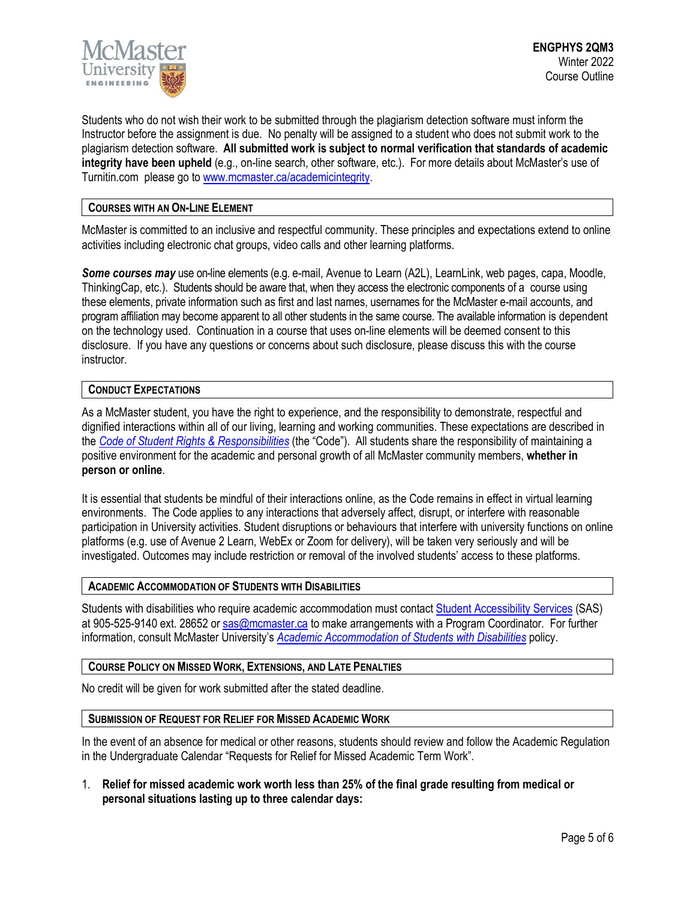

Students who do not wish their work to be submitted through the plagiarism detection software must inform the Instructor before the assignment is due. No penalty will be assigned to a student who does not submit work to the plagiarism detection software. **All submitted work is subject to normal verification that standards of academic integrity have been upheld** (e.g., on-line search, other software, etc.). For more details about McMaster's use of Turnitin.com please go t[o www.mcmaster.ca/academicintegrity.](http://www.mcmaster.ca/academicintegrity)

# **COURSES WITH AN ON-LINE ELEMENT**

McMaster is committed to an inclusive and respectful community. These principles and expectations extend to online activities including electronic chat groups, video calls and other learning platforms.

*Some courses may* use on-line elements (e.g. e-mail, Avenue to Learn (A2L), LearnLink, web pages, capa, Moodle, ThinkingCap, etc.). Students should be aware that, when they access the electronic components of a course using these elements, private information such as first and last names, usernames for the McMaster e-mail accounts, and program affiliation may become apparent to all other students in the same course. The available information is dependent on the technology used. Continuation in a course that uses on-line elements will be deemed consent to this disclosure. If you have any questions or concerns about such disclosure, please discuss this with the course instructor.

# **CONDUCT EXPECTATIONS**

As a McMaster student, you have the right to experience, and the responsibility to demonstrate, respectful and dignified interactions within all of our living, learning and working communities. These expectations are described in the *Code of Student Rights & [Responsibilities](https://secretariat.mcmaster.ca/app/uploads/Code-of-Student-Rights-and-Responsibilities.pdf)* (the "Code"). All students share the responsibility of maintaining a positive environment for the academic and personal growth of all McMaster community members, **whether in person or online**.

It is essential that students be mindful of their interactions online, as the Code remains in effect in virtual learning environments. The Code applies to any interactions that adversely affect, disrupt, or interfere with reasonable participation in University activities. Student disruptions or behaviours that interfere with university functions on online platforms (e.g. use of Avenue 2 Learn, WebEx or Zoom for delivery), will be taken very seriously and will be investigated. Outcomes may include restriction or removal of the involved students' access to these platforms.

### **ACADEMIC ACCOMMODATION OF STUDENTS WITH DISABILITIES**

Students with disabilities who require academic accommodation must contact Student [Accessibility Services](https://sas.mcmaster.ca/) (SAS) at 905-525-9140 ext. 28652 or [sas@mcmaster.ca](mailto:sas@mcmaster.ca) to make arrangements with a Program Coordinator. For further information, consult McMaster University's *[Academic Accommodation](https://secretariat.mcmaster.ca/app/uploads/Academic-Accommodations-Policy.pdf) of Students with Disabilities* policy.

### **COURSE POLICY ON MISSED WORK, EXTENSIONS, AND LATE PENALTIES**

No credit will be given for work submitted after the stated deadline.

#### **SUBMISSION OF REQUEST FOR RELIEF FOR MISSED ACADEMIC WORK**

In the event of an absence for medical or other reasons, students should review and follow the Academic Regulation in the Undergraduate Calendar "Requests for Relief for Missed Academic Term Work".

1. **Relief for missed academic work worth less than 25% of the final grade resulting from medical or personal situations lasting up to three calendar days:**